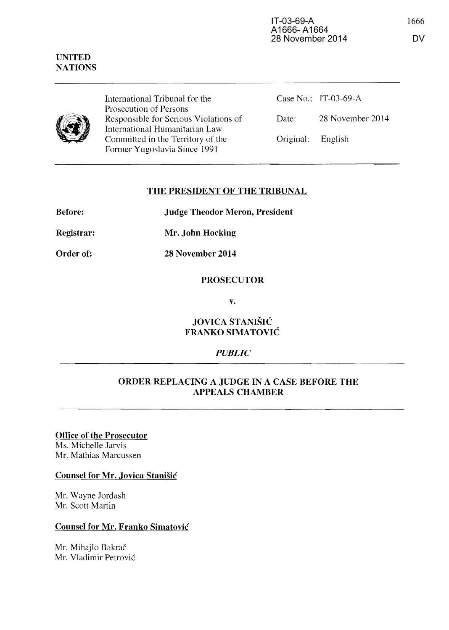Before:

International Tribunal for the Prosecution of Persons Responsible for Serious Violations of International Humanitarian Law Committed in the Territory of the Former Yugoslavia Since 1991

|                   | Case No.: IT-03-69-A |
|-------------------|----------------------|
| Date:             | 28 November 2014     |
| Original: English |                      |

## THE PRESIDENT OF THE TRIBUNAL

Judge Theodor Meron, President

Registrar: Mr. John Hocking

Order of: 28 November 2014

PROSECUTOR

v.

JOVICA STANISIC FRANKO SIMATOVIĆ

# *PUBLIC*

# ORDER REPLACING A JUDGE IN A CASE BEFORE THE APPEALS CHAMBER

Office of the Prosecutor Ms. Michelle Jarvis Mr. Mathias Marcussen

### Counsel for Mr. Jovica Stanisic

Mr. Wayne Jordash Mr. Scott Martin

### Counsel for Mr. Franko Simatovic

Mr. Mihajlo Bakrač Mr. Vladimir Petrovic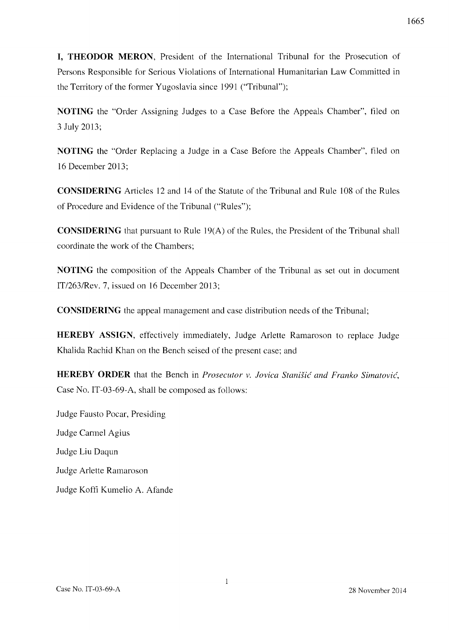**I, THEODOR MERON,** President of the International Tribunal for the Prosecution of Persons Responsible for Serious Violations of International Humanitarian Law Committed in the Territory of the former Yugoslavia since 1991 ("Tribunal");

**NOTING** the "Order Assigning Judges to a Case Before the Appeals Chamber", filed on 3 July 2013;

**NOTING** the "Order Replacing a Judge in a Case Before the Appeals Chamber", filed on 16 December 2013;

**CONSIDERING** Articles 12 and 14 of the Statute of the Tribunal and Rule 108 of the Rules of Procedure and Evidence of the Tribunal ("Rules");

**CONSIDERING** that pursuant to Rule 19(A) of the Rules, the President of the Tribunal shall coordinate the work of the Chambers;

**NOTING** the composition of the Appeals Chamber of the Tribunal as set out in document *IT/2631Rev.* 7, issued on 16 December 2013;

**CONSIDERING** the appeal management and case distribution needs of the Tribunal;

**HEREBY ASSIGN,** effectively immediately, Judge Arlette Ramaroson to replace Judge Khalida Rachid Khan on the Bench seised of the present case; and

**HEREBY ORDER** that the Bench in *Prosecutor v. Jovica Stanišić and Franko Simatović*, Case No. IT-03-69-A, shall be composed as follows:

Judge Fausto Pocar, Presiding Judge Cannel Agius Judge Liu Daqun Judge Arlette Ramaroson Judge Koffi Kumelio A. Afande

 $\mathbf{1}$